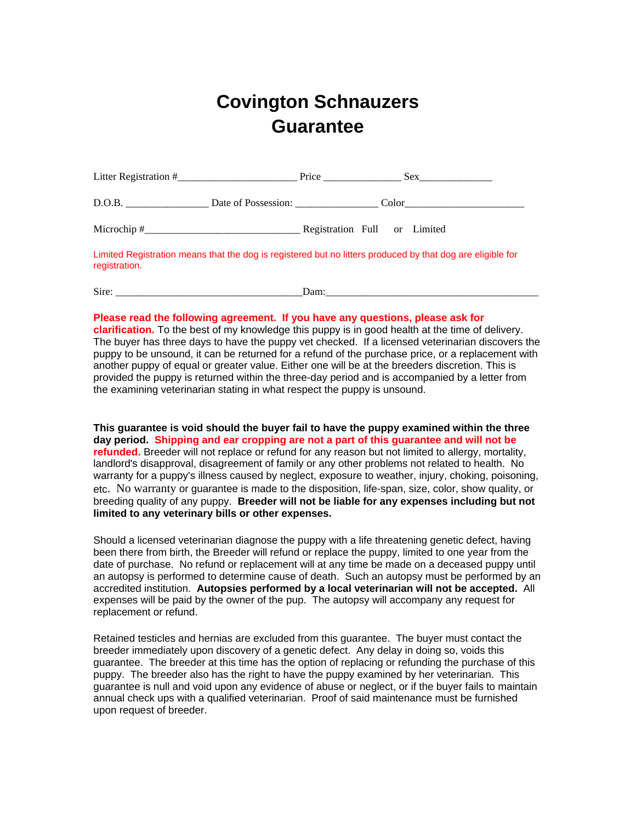## **Covington Schnauzers Guarantee**

|            |                     | Price                        |       | Sex |  |
|------------|---------------------|------------------------------|-------|-----|--|
| D.O.B.     | Date of Possession: |                              | Color |     |  |
| Microchip# |                     | Registration Full or Limited |       |     |  |

Limited Registration means that the dog is registered but no litters produced by that dog are eligible for registration.

Sire: <u>Dam</u>:

## **Please read the following agreement. If you have any questions, please ask for**

**clarification.** To the best of my knowledge this puppy is in good health at the time of delivery. The buyer has three days to have the puppy vet checked. If a licensed veterinarian discovers the puppy to be unsound, it can be returned for a refund of the purchase price, or a replacement with another puppy of equal or greater value. Either one will be at the breeders discretion. This is provided the puppy is returned within the three-day period and is accompanied by a letter from the examining veterinarian stating in what respect the puppy is unsound.

**This guarantee is void should the buyer fail to have the puppy examined within the three day period. Shipping and ear cropping are not a part of this guarantee and will not be refunded.** Breeder will not replace or refund for any reason but not limited to allergy, mortality, landlord's disapproval, disagreement of family or any other problems not related to health. No warranty for a puppy's illness caused by neglect, exposure to weather, injury, choking, poisoning, etc. No warranty or guarantee is made to the disposition, life-span, size, color, show quality, or breeding quality of any puppy. **Breeder will not be liable for any expenses including but not limited to any veterinary bills or other expenses.**

Should a licensed veterinarian diagnose the puppy with a life threatening genetic defect, having been there from birth, the Breeder will refund or replace the puppy, limited to one year from the date of purchase. No refund or replacement will at any time be made on a deceased puppy until an autopsy is performed to determine cause of death. Such an autopsy must be performed by an accredited institution. **Autopsies performed by a local veterinarian will not be accepted.** All expenses will be paid by the owner of the pup. The autopsy will accompany any request for replacement or refund.

Retained testicles and hernias are excluded from this guarantee. The buyer must contact the breeder immediately upon discovery of a genetic defect. Any delay in doing so, voids this guarantee. The breeder at this time has the option of replacing or refunding the purchase of this puppy. The breeder also has the right to have the puppy examined by her veterinarian. This guarantee is null and void upon any evidence of abuse or neglect, or if the buyer fails to maintain annual check ups with a qualified veterinarian. Proof of said maintenance must be furnished upon request of breeder.